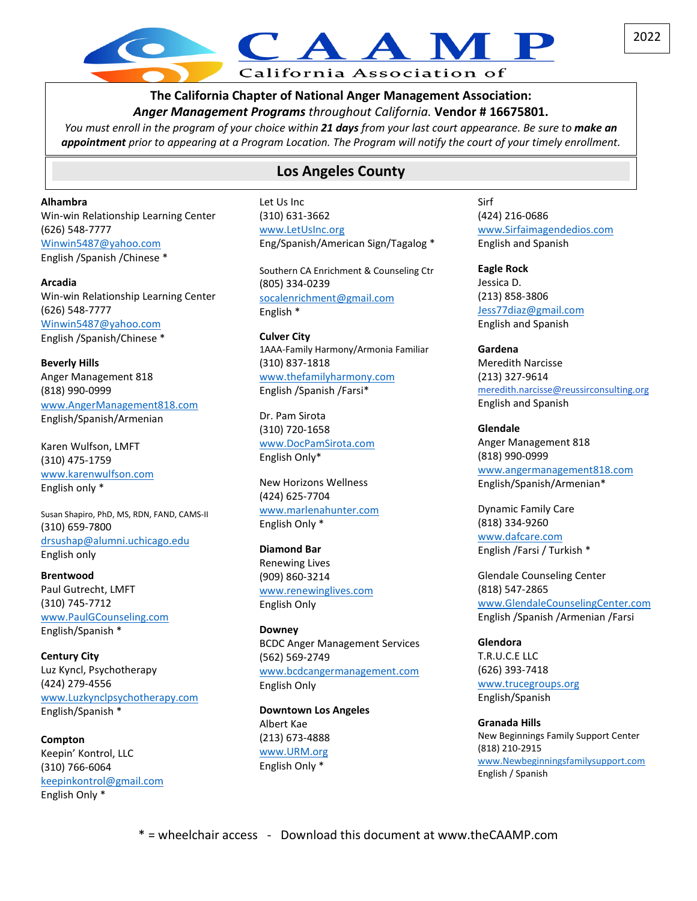# California Association of

**The California Chapter of National Anger Management Association:** *Anger Management Programs throughout California.* **Vendor # 16675801.**

*You must enroll in the program of your choice within 21 days from your last court appearance. Be sure to make an appointment prior to appearing at a Program Location. The Program will notify the court of your timely enrollment.*

## **Los Angeles County**

**Alhambra** Win-win Relationship Learning Center (626) 548-7777 [Winwin5487@yahoo.com](mailto:Winwin5487@yahoo.com) English /Spanish /Chinese \*

**Arcadia** Win-win Relationship Learning Center (626) 548-7777 [Winwin5487@yahoo.com](mailto:Winwin5487@yahoo.com) English /Spanish/Chinese \*

**Beverly Hills** Anger Management 818 (818) 990-0999 [www.AngerManagement818.com](http://www.angermanagement818.com/) English/Spanish/Armenian

Karen Wulfson, LMFT (310) 475-1759 [www.karenwulfson.com](http://www.karenwulfson.com/) English only \*

Susan Shapiro, PhD, MS, RDN, FAND, CAMS-II (310) 659-7800 [drsushap@alumni.uchicago.edu](mailto:drsushap@alumni.uchicago.edu)  English only

**Brentwood** Paul Gutrecht, LMFT (310) 745-7712 [www.PaulGCounseling.com](http://www.paulgcounseling.com/)  English/Spanish \*

**Century City** Luz Kyncl, Psychotherapy (424) 279-4556 [www.Luzkynclpsychotherapy.com](http://www.luzkynclpsychotherapy.com/)  English/Spanish \*

**Compton** Keepin' Kontrol, LLC (310) 766-6064 [keepinkontrol@gmail.com](mailto:keepinkontrol@gmail.com) English Only \*

Let Us Inc (310) 631-3662 [www.LetUsInc.org](http://www.letusinc.org/) Eng/Spanish/American Sign/Tagalog \*

Southern CA Enrichment & Counseling Ctr (805) 334-0239 [socalenrichment@gmail.com](mailto:socalenrichment@gmail.com)  English \*

**Culver City** 1AAA-Family Harmony/Armonia Familiar (310) 837-1818 [www.thefamilyharmony.com](http://www.thefamilyharmony.com/)  English /Spanish /Farsi\*

Dr. Pam Sirota (310) 720-1658 [www.DocPamSirota.com](http://www.docpamsirota.com/) English Only\*

New Horizons Wellness (424) 625-7704 [www.marlenahunter.com](http://www.marlenahunter.com/) English Only \*

**Diamond Bar** Renewing Lives (909) 860-3214 [www.renewinglives.com](http://www.renewinglives.com/) English Only

**Downey** BCDC Anger Management Services (562) 569-2749 [www.bcdcangermanagement.com](http://www.bcdcangermanagement.com/) English Only

**Downtown Los Angeles** Albert Kae (213) 673-4888 [www.URM.org](http://www.urm.org/) English Only \*

Sirf (424) 216-0686 [www.Sirfaimagendedios.com](http://www.sirfaimagendedios.com/) English and Spanish

**Eagle Rock** Jessica D. (213) 858-3806 [Jess77diaz@gmail.com](mailto:Jess77diaz@gmail.com) English and Spanish

**Gardena** Meredith Narcisse (213) 327-9614 [meredith.narcisse@reussirconsulting.org](mailto:meredith.narcisse@reussirconsulting.org) English and Spanish

**Glendale** Anger Management 818 (818) 990-0999 [www.angermanagement818.com](http://www.angermanagement818.com/)  English/Spanish/Armenian\*

Dynamic Family Care (818) 334-9260 [www.dafcare.com](http://www.dafcare.com/)  English /Farsi / Turkish \*

Glendale Counseling Center (818) 547-2865 [www.GlendaleCounselingCenter.com](http://www.glendalecounselingcenter.com/) English /Spanish /Armenian /Farsi

**Glendora** T.R.U.C.E LLC (626) 393-7418 [www.trucegroups.org](http://www.trucegroups.org/) English/Spanish

**Granada Hills** New Beginnings Family Support Center (818) 210-2915 [www.Newbeginningsfamilysupport.com](http://www.newbeginningsfamilysupport.com/) English / Spanish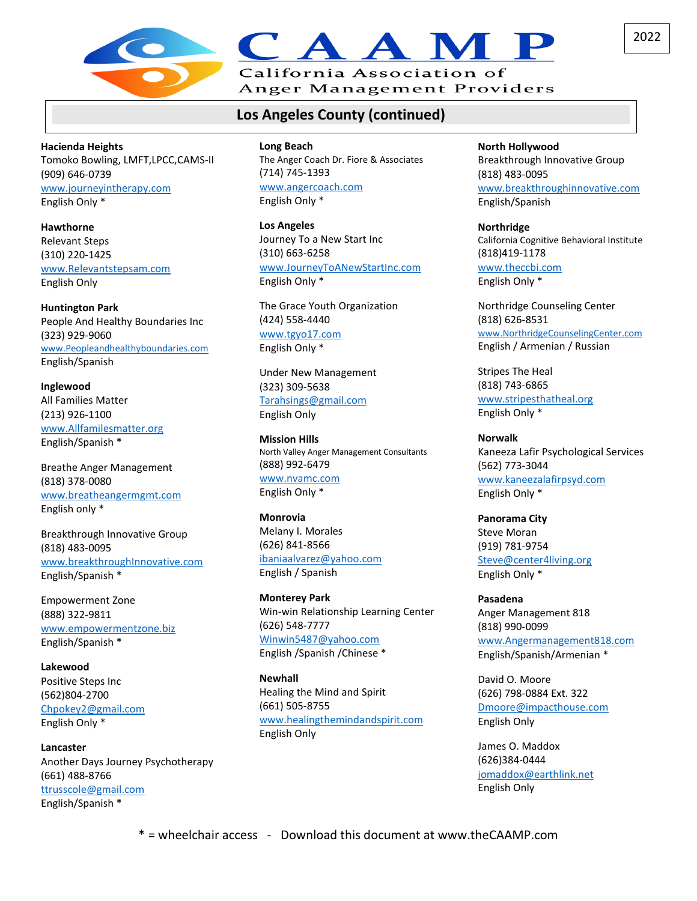

## California Association of

Anger Management Providers

## **Los Angeles County (continued)**

**Hacienda Heights** Tomoko Bowling, LMFT,LPCC,CAMS-II (909) 646-0739 [www.journeyintherapy.com](http://www.journeyintherapy.com/) English Only \*

**Hawthorne** Relevant Steps (310) 220-1425 [www.Relevantstepsam.com](http://www.relevantstepsam.com/) English Only

**Huntington Park** People And Healthy Boundaries Inc (323) 929-9060 [www.Peopleandhealthyboundaries.com](http://www.peopleandhealthyboundaries.com/) English/Spanish

**Inglewood** All Families Matter (213) 926-1100 [www.Allfamilesmatter.org](http://www.allfamilesmatter.org/) English/Spanish \*

Breathe Anger Management (818) 378-0080 www.[breatheangermgmt.com](mailto:Breatheangermgmt@gmail.com) English only \*

Breakthrough Innovative Group (818) 483-0095 [www.breakthroughInnovative.com](http://www.breakthroughinnovative.com/)  English/Spanish \*

Empowerment Zone (888) 322-9811 [www.empowermentzone.biz](http://www.empowermentzone.biz/)  English/Spanish \*

**Lakewood** Positive Steps Inc (562)804-2700 [Chpokey2@gmail.com](mailto:Chpokey2@gmail.com) English Only \*

**Lancaster** Another Days Journey Psychotherapy (661) 488-8766 [ttrusscole@gmail.com](mailto:ttrusscole@gmail.com) English/Spanish \*

#### **Long Beach**

The Anger Coach Dr. Fiore & Associates (714) 745-1393 [www.angercoach.com](http://www.angercoach.com/) English Only \*

**Los Angeles** Journey To a New Start Inc (310) 663-6258 [www.JourneyToANewStartInc.com](http://www.journeytoanewstartinc.com/) English Only \*

The Grace Youth Organization (424) 558-4440 [www.tgyo17.com](mailto:Pmoncrief7155@yahoo.com) English Only \*

Under New Management (323) 309-5638 [Tarahsings@gmail.com](mailto:Tarahsings@gmail.com) English Only

**Mission Hills** North Valley Anger Management Consultants (888) 992-6479 [www.nvamc.com](http://www.nvamc.com/) English Only \*

**Monrovia** Melany I. Morales (626) 841-8566 [ibaniaalvarez@yahoo.com](mailto:ibaniaalvarez@yahoo.com) English / Spanish

**Monterey Park** Win-win Relationship Learning Center (626) 548-7777 [Winwin5487@yahoo.com](mailto:Winwin5487@yahoo.com) English /Spanish /Chinese \*

**Newhall** Healing the Mind and Spirit (661) 505-8755 [www.healingthemindandspirit.com](http://www.healingthemindandspirit.com/) English Only

#### **North Hollywood** Breakthrough Innovative Group (818) 483-0095 [www.breakthroughinnovative.com](http://www.breakthroughinnovative.com/)

English/Spanish

**Northridge** California Cognitive Behavioral Institute (818)419-1178 [www.theccbi.com](http://www.theccbi.com/)

English Only \*

Northridge Counseling Center (818) 626-8531 [www.NorthridgeCounselingCenter.com](http://www.northridgecounselingcenter.com/) English / Armenian / Russian

Stripes The Heal (818) 743-6865 [www.stripesthatheal.org](http://www.stripesthatheal.org/) English Only \*

**Norwalk** Kaneeza Lafir Psychological Services (562) 773-3044 [www.kaneezalafirpsyd.com](http://www.kaneezalafirpsyd.com/) English Only \*

**Panorama City** Steve Moran (919) 781-9754 [Steve@center4living.org](mailto:Steve@center4living.org) English Only \*

**Pasadena** Anger Management 818 (818) 990-0099 [www.Angermanagement818.com](http://www.angermanagement818.com/) English/Spanish/Armenian \*

David O. Moore (626) 798-0884 Ext. 322 [Dmoore@impacthouse.com](mailto:Dmoore@impacthouse.com) English Only

James O. Maddox (626)384-0444 [jomaddox@earthlink.net](mailto:jomaddox@earthlink.net) English Only

2022

\* = wheelchair access - Download this document at www.theCAAMP.com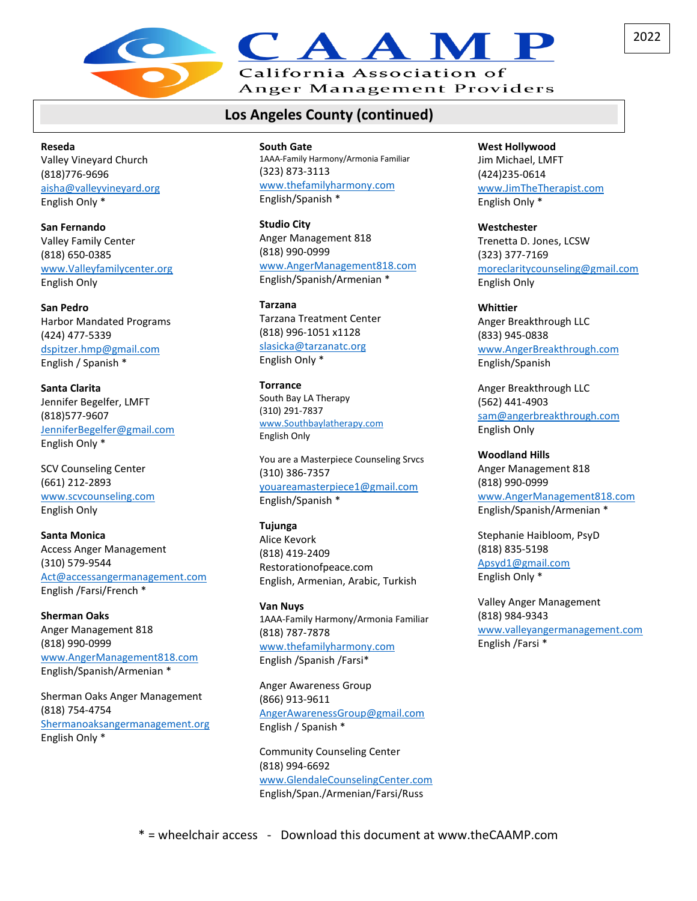

## **Los Angeles County (continued)**

**Reseda** Valley Vineyard Church (818)776-9696 [aisha@valleyvineyard.org](mailto:aisha@valleyvineyard.org) English Only \*

**San Fernando** Valley Family Center (818) 650-0385 [www.Valleyfamilycenter.org](http://www.valleyfamilycenter.org/) English Only

**San Pedro** Harbor Mandated Programs (424) 477-5339 [dspitzer.hmp@gmail.com](mailto:dspitzer.hmp@gmail.com) English / Spanish \*

**Santa Clarita** Jennifer Begelfer, LMFT (818)577-9607 [JenniferBegelfer@gmail.com](mailto:JenniferBegelfer@gmail.com) English Only \*

SCV Counseling Center (661) 212-2893 [www.scvcounseling.com](http://www.scvcounseling.com/) English Only

**Santa Monica** Access Anger Management (310) 579-9544 [Act@accessangermanagement.com](mailto:Act@accessangermanagement.com)  English /Farsi/French \*

**Sherman Oaks** Anger Management 818 (818) 990-0999 [www.AngerManagement818.com](http://www.angermanagement818.com/) English/Spanish/Armenian \*

Sherman Oaks Anger Management (818) 754-4754 [Shermanoaksangermanagement.org](http://www.shermanoaksangermanagement.com/)  English Only \*

**South Gate** 1AAA-Family Harmony/Armonia Familiar (323) 873-3113 [www.thefamilyharmony.com](http://www.thefamilyharmony.com/)  English/Spanish \*

**Studio City** Anger Management 818 (818) 990-0999 [www.AngerManagement818.com](http://www.angermanagement818.com/) English/Spanish/Armenian \*

**Tarzana** Tarzana Treatment Center (818) 996-1051 x1128 [slasicka@tarzanatc.org](mailto:slasicka@tarzanatc.org) English Only \*

**Torrance** South Bay LA Therapy (310) 291-7837 [www.Southbaylatherapy.com](http://www.southbaylatherapy.com/) English Only

You are a Masterpiece Counseling Srvcs (310) 386-7357 [youareamasterpiece1@gmail.com](mailto:youareamasterpiece1@gmail.com) English/Spanish \*

**Tujunga** Alice Kevork (818) 419-2409 Restorationofpeace.com English, Armenian, Arabic, Turkish

**Van Nuys** 1AAA-Family Harmony/Armonia Familiar (818) 787-7878 [www.thefamilyharmony.com](http://www.thefamilyharmony.com/)  English /Spanish /Farsi\*

Anger Awareness Group (866) 913-9611 [AngerAwarenessGroup@gmail.com](mailto:AngerAwarenessGroup@gmail.com) English / Spanish \*

Community Counseling Center (818) 994-6692 [www.GlendaleCounselingCenter.com](http://www.glendalecounselingcenter.com/) English/Span./Armenian/Farsi/Russ

**West Hollywood** Jim Michael, LMFT (424)235-0614 [www.JimTheTherapist.com](http://www.jimthetherapist.com/) English Only \*

**Westchester** Trenetta D. Jones, LCSW (323) 377-7169 [moreclaritycounseling@gmail.com](mailto:moreclaritycounseling@gmail.com) English Only

**Whittier** Anger Breakthrough LLC (833) 945-0838 [www.AngerBreakthrough.com](http://www.angerbreakthrough.com/) English/Spanish

Anger Breakthrough LLC (562) 441-4903 [sam@angerbreakthrough.com](mailto:sam@angerbreakthrough.com) English Only

**Woodland Hills** Anger Management 818 (818) 990-0999 [www.AngerManagement818.com](http://www.angermanagement818.com/) English/Spanish/Armenian \*

Stephanie Haibloom, PsyD (818) 835-5198 [Apsyd1@gmail.com](mailto:Apsyd1@gmail.com) English Only \*

Valley Anger Management (818) 984-9343 [www.valleyangermanagement.com](http://www.valleyangermanagement.com/) English /Farsi \*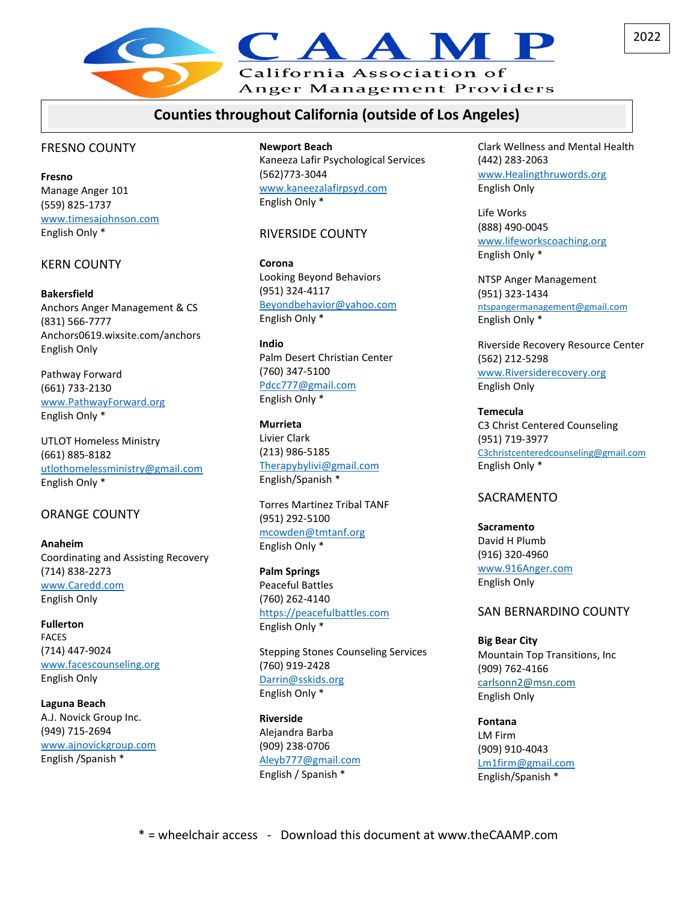

### **Counties throughout California (outside of Los Angeles)**

#### FRESNO COUNTY

**Fresno** Manage Anger 101 (559) 825-1737 [www.timesajohnson.com](http://www.timesajohnson.com/) English Only \*

#### KERN COUNTY

**Bakersfield** Anchors Anger Management & CS (831) 566-7777 Anchors0619.wixsite.com/anchors English Only

Pathway Forward (661) 733-2130 [www.PathwayForward.org](http://www.pathwayforward.org/) English Only \*

UTLOT Homeless Ministry (661) 885-8182 [utlothomelessministry@gmail.com](mailto:utlothomelessministry@gmail.com) English Only \*

#### ORANGE COUNTY

**Anaheim** Coordinating and Assisting Recovery (714) 838-2273 [www.Caredd.com](http://www.caredd.com/) English Only

**Fullerton** FACES (714) 447-9024 [www.facescounseling.org](http://www.facescounseling.org/) English Only

**Laguna Beach** A.J. Novick Group Inc. (949) 715-2694 [www.ajnovickgroup.com](http://www.ajnovickgroup.com/) English /Spanish \*

**Newport Beach**

Kaneeza Lafir Psychological Services (562)773-3044 [www.kaneezalafirpsyd.com](http://www.kaneezalafirpsyd.com/) English Only \*

#### RIVERSIDE COUNTY

**Corona** Looking Beyond Behaviors (951) 324-4117 [Beyondbehavior@yahoo.com](mailto:Beyondbehavior@yahoo.com) English Only \*

**Indio** Palm Desert Christian Center (760) 347-5100 [Pdcc777@gmail.com](mailto:Pdcc777@gmail.com) English Only \*

**Murrieta** Livier Clark (213) 986-5185 [Therapybylivi@gmail.com](mailto:Therapybylivi@gmail.com) English/Spanish \*

Torres Martinez Tribal TANF (951) 292-5100 [mcowden@tmtanf.org](mailto:mcowden@tmtanf.org) English Only \*

**Palm Springs** Peaceful Battles (760) 262-4140 [https://peacefulbattles.com](https://peacefulbattles.com/) English Only \*

Stepping Stones Counseling Services (760) 919-2428 [Darrin@sskids.org](mailto:Darrin@sskids.org) English Only \*

**Riverside** Alejandra Barba (909) 238-0706 [Aleyb777@gmail.com](mailto:Aleyb777@gmail.com) English / Spanish \*

Clark Wellness and Mental Health (442) 283-2063 [www.Healingthruwords.org](http://www.healingthruwords.org/) English Only

Life Works (888) 490-0045 [www.lifeworkscoaching.org](http://www.lifeworkscoaching.org/) English Only \*

NTSP Anger Management (951) 323-1434 [ntspangermanagement@gmail.com](mailto:ntspangermanagement@gmail.com) English Only \*

Riverside Recovery Resource Center (562) 212-5298 [www.Riversiderecovery.org](http://www.riversiderecovery.org/) English Only

**Temecula** C3 Christ Centered Counseling (951) 719-3977 [C3christcenteredcounseling@gmail.com](mailto:C3christcenteredcounseling@gmail.com)  English Only \*

#### SACRAMENTO

**Sacramento** David H Plumb (916) 320-4960

[www.916Anger.com](http://www.916anger.com/) English Only

#### SAN BERNARDINO COUNTY

**Big Bear City** Mountain Top Transitions, Inc (909) 762-4166 [carlsonn2@msn.com](mailto:carlsonn2@msn.com) English Only

**Fontana** LM Firm (909) 910-4043 [Lm1firm@gmail.com](mailto:Lm1firm@gmail.com) English/Spanish \*

2022